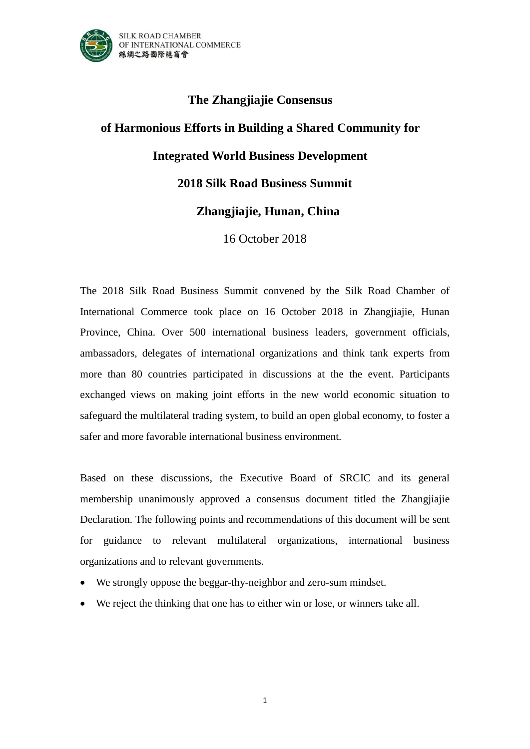

## **The Zhangjiajie Consensus of Harmonious Efforts in Building a Shared Community for Integrated World Business Development 2018 Silk Road Business Summit Zhangjiajie, Hunan, China**

16 October 2018

The 2018 Silk Road Business Summit convened by the Silk Road Chamber of International Commerce took place on 16 October 2018 in Zhangjiajie, Hunan Province, China. Over 500 international business leaders, government officials, ambassadors, delegates of international organizations and think tank experts from more than 80 countries participated in discussions at the the event. Participants exchanged views on making joint efforts in the new world economic situation to safeguard the multilateral trading system, to build an open global economy, to foster a safer and more favorable international business environment.

Based on these discussions, the Executive Board of SRCIC and its general membership unanimously approved a consensus document titled the Zhangjiajie Declaration. The following points and recommendations of this document will be sent for guidance to relevant multilateral organizations, international business organizations and to relevant governments.

- We strongly oppose the beggar-thy-neighbor and zero-sum mindset.
- We reject the thinking that one has to either win or lose, or winners take all.